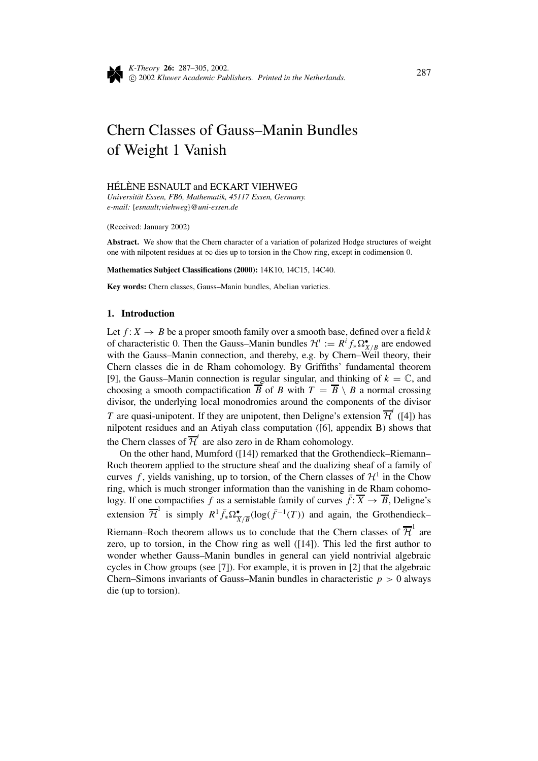

# Chern Classes of Gauss–Manin Bundles of Weight 1 Vanish

### HÉLÈNE ESNAULT and ECKART VIEHWEG

*Universit¨at Essen, FB6, Mathematik, 45117 Essen, Germany. e-mail:* {*esnault;viehweg*}*@uni-essen.de*

(Received: January 2002)

**Abstract.** We show that the Chern character of a variation of polarized Hodge structures of weight one with nilpotent residues at  $\infty$  dies up to torsion in the Chow ring, except in codimension 0.

**Mathematics Subject Classifications (2000):** 14K10, 14C15, 14C40.

**Key words:** Chern classes, Gauss–Manin bundles, Abelian varieties.

## **1. Introduction**

Let  $f: X \to B$  be a proper smooth family over a smooth base, defined over a field k of characteristic 0. Then the Gauss–Manin bundles  $\mathcal{H}^i := R^i f_* \Omega_{X/B}^{\bullet}$  are endowed with the Gauss–Manin connection, and thereby, e.g. by Chern–Weil theory, their Chern classes die in de Rham cohomology. By Griffiths' fundamental theorem [9], the Gauss–Manin connection is regular singular, and thinking of  $k = \mathbb{C}$ , and choosing a smooth compactification  $\overline{B}$  of *B* with  $T = \overline{B} \setminus B$  a normal crossing divisor, the underlying local monodromies around the components of the divisor *T* are quasi-unipotent. If they are unipotent, then Deligne's extension  $\overline{\mathcal{H}}^i$  ([4]) has nilpotent residues and an Atiyah class computation ([6], appendix B) shows that the Chern classes of  $\overline{\mathcal{H}}^i$  are also zero in de Rham cohomology.

On the other hand, Mumford ([14]) remarked that the Grothendieck–Riemann– Roch theorem applied to the structure sheaf and the dualizing sheaf of a family of curves f, yields vanishing, up to torsion, of the Chern classes of  $\mathcal{H}^1$  in the Chow ring, which is much stronger information than the vanishing in de Rham cohomology. If one compactifies *f* as a semistable family of curves  $\bar{f}$ :  $\overline{X} \rightarrow \overline{B}$ , Deligne's extension  $\overline{\mathcal{H}}^1$  is simply  $R^1 \overline{f}_* \Omega^{\bullet}_{\overline{X}/\overline{B}}(\log(\overline{f}^{-1}(T))$  and again, the Grothendieck– Riemann–Roch theorem allows us to conclude that the Chern classes of  $\overline{\mathcal{H}}^1$  are zero, up to torsion, in the Chow ring as well ([14]). This led the first author to wonder whether Gauss–Manin bundles in general can yield nontrivial algebraic cycles in Chow groups (see [7]). For example, it is proven in [2] that the algebraic Chern–Simons invariants of Gauss–Manin bundles in characteristic  $p > 0$  always die (up to torsion).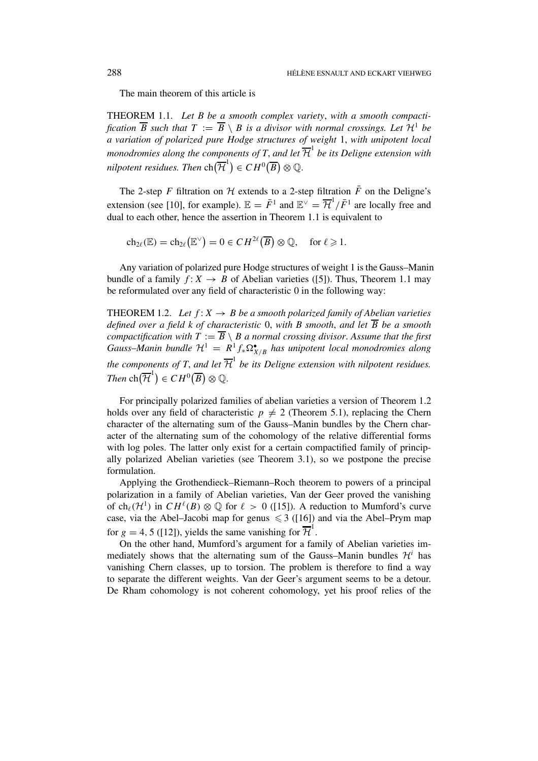The main theorem of this article is

THEOREM 1.1. *Let B be a smooth complex variety*, *with a smooth compactification*  $\overline{B}$  *such that*  $T := \overline{B} \setminus B$  *is a divisor with normal crossings. Let*  $\mathcal{H}^1$  *be a variation of polarized pure Hodge structures of weight* 1, *with unipotent local monodromies along the components of T, and let*  $\overline{\mathcal{H}}^1$  *be its Deligne extension with nilpotent residues. Then*  $\mathrm{ch}(\overline{\mathcal{H}}^1) \in CH^0(\overline{B}) \otimes \mathbb{Q}$ .

The 2-step *F* filtration on  $H$  extends to a 2-step filtration  $\overline{F}$  on the Deligne's extension (see [10], for example).  $\mathbb{E} = \overline{F}^1$  and  $\mathbb{E}^{\vee} = \overline{\mathcal{H}}^1/\overline{F}^1$  are locally free and dual to each other, hence the assertion in Theorem 1.1 is equivalent to

$$
\mathrm{ch}_{2\ell}(\mathbb{E}) = \mathrm{ch}_{2\ell}\big(\mathbb{E}^{\vee}\big) = 0 \in CH^{2\ell}(\overline{B}) \otimes \mathbb{Q}, \quad \text{for } \ell \geqslant 1.
$$

Any variation of polarized pure Hodge structures of weight 1 is the Gauss–Manin bundle of a family  $f: X \to B$  of Abelian varieties ([5]). Thus, Theorem 1.1 may be reformulated over any field of characteristic 0 in the following way:

THEOREM 1.2. Let  $f: X \rightarrow B$  be a smooth polarized family of Abelian varieties *defined over a field k of characteristic* 0, *with B smooth*, *and let B be a smooth compactification with*  $T := \overline{B} \setminus B$  *a normal crossing divisor. Assume that the first Gauss–Manin bundle*  $\mathcal{H}^1 = R^1 f_* \Omega_{X/B}^{\bullet}$  *has unipotent local monodromies along the components of T, and let*  $\overline{\mathcal{H}}^1$  *be its Deligne extension with nilpotent residues. Then*  $\text{ch}(\overline{\mathcal{H}}^1) \in CH^0(\overline{B}) \otimes \mathbb{Q}$ .

For principally polarized families of abelian varieties a version of Theorem 1.2 holds over any field of characteristic  $p \neq 2$  (Theorem 5.1), replacing the Chern character of the alternating sum of the Gauss–Manin bundles by the Chern character of the alternating sum of the cohomology of the relative differential forms with log poles. The latter only exist for a certain compactified family of principally polarized Abelian varieties (see Theorem 3.1), so we postpone the precise formulation.

Applying the Grothendieck–Riemann–Roch theorem to powers of a principal polarization in a family of Abelian varieties, Van der Geer proved the vanishing of ch<sub> $\ell$ </sub>( $\mathcal{H}^1$ ) in  $CH^{\ell}(B) \otimes \mathbb{Q}$  for  $\ell > 0$  ([15]). A reduction to Mumford's curve case, via the Abel–Jacobi map for genus  $\leq 3$  ([16]) and via the Abel–Prym map for  $g = 4, 5$  ([12]), yields the same vanishing for  $\overline{\mathcal{H}}^1$ .

On the other hand, Mumford's argument for a family of Abelian varieties immediately shows that the alternating sum of the Gauss–Manin bundles  $\mathcal{H}^i$  has vanishing Chern classes, up to torsion. The problem is therefore to find a way to separate the different weights. Van der Geer's argument seems to be a detour. De Rham cohomology is not coherent cohomology, yet his proof relies of the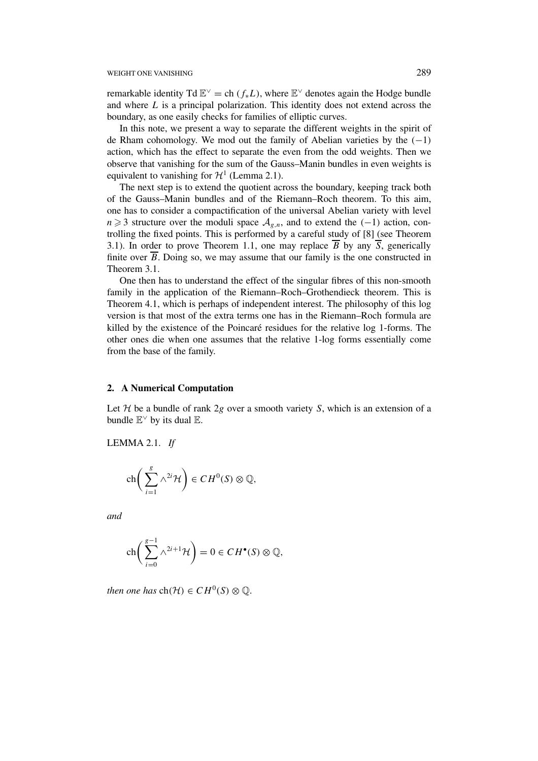remarkable identity Td  $\mathbb{E}^{\vee}$  = ch  $(f_*L)$ , where  $\mathbb{E}^{\vee}$  denotes again the Hodge bundle and where *L* is a principal polarization. This identity does not extend across the boundary, as one easily checks for families of elliptic curves.

In this note, we present a way to separate the different weights in the spirit of de Rham cohomology. We mod out the family of Abelian varieties by the *(*−1*)* action, which has the effect to separate the even from the odd weights. Then we observe that vanishing for the sum of the Gauss–Manin bundles in even weights is equivalent to vanishing for  $\mathcal{H}^1$  (Lemma 2.1).

The next step is to extend the quotient across the boundary, keeping track both of the Gauss–Manin bundles and of the Riemann–Roch theorem. To this aim, one has to consider a compactification of the universal Abelian variety with level  $n \geq 3$  structure over the moduli space  $A_{g,n}$ , and to extend the *(−1)* action, controlling the fixed points. This is performed by a careful study of [8] (see Theorem 3.1). In order to prove Theorem 1.1, one may replace  $\overline{B}$  by any  $\overline{S}$ , generically finite over  $\overline{B}$ . Doing so, we may assume that our family is the one constructed in Theorem 3.1.

One then has to understand the effect of the singular fibres of this non-smooth family in the application of the Riemann–Roch–Grothendieck theorem. This is Theorem 4.1, which is perhaps of independent interest. The philosophy of this log version is that most of the extra terms one has in the Riemann–Roch formula are killed by the existence of the Poincaré residues for the relative log 1-forms. The other ones die when one assumes that the relative 1-log forms essentially come from the base of the family.

#### **2. A Numerical Computation**

Let  $H$  be a bundle of rank  $2g$  over a smooth variety *S*, which is an extension of a bundle  $E^{\vee}$  by its dual E.

LEMMA 2.1. *If*

$$
\operatorname{ch}\bigg(\sum_{i=1}^g \wedge^{2i} \mathcal{H}\bigg) \in CH^0(S) \otimes \mathbb{Q},
$$

*and*

$$
\operatorname{ch}\bigg(\sum_{i=0}^{g-1}\wedge^{2i+1}\mathcal{H}\bigg)=0\in CH^{\bullet}(S)\otimes\mathbb{Q},
$$

*then one has*  $ch(\mathcal{H}) \in CH^0(S) \otimes \mathbb{O}$ .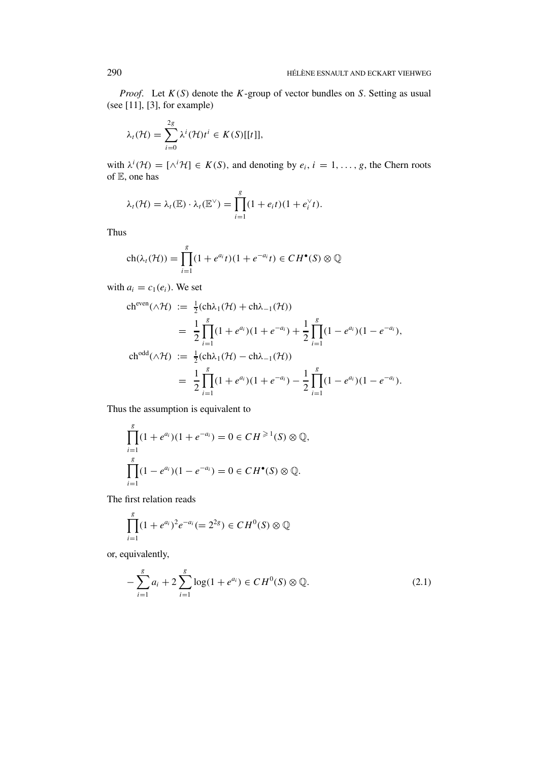*Proof*. Let *K(S)* denote the *K*-group of vector bundles on *S*. Setting as usual (see [11], [3], for example)

$$
\lambda_t(\mathcal{H}) = \sum_{i=0}^{2g} \lambda^i(\mathcal{H}) t^i \in K(S)[[t]],
$$

with  $\lambda^{i}(\mathcal{H}) = [\wedge^{i} \mathcal{H}] \in K(S)$ , and denoting by  $e_i, i = 1, \ldots, g$ , the Chern roots of E, one has

$$
\lambda_t(\mathcal{H}) = \lambda_t(\mathbb{E}) \cdot \lambda_t(\mathbb{E}^{\vee}) = \prod_{i=1}^g (1 + e_i t)(1 + e_i^{\vee} t).
$$

Thus

$$
ch(\lambda_t(\mathcal{H})) = \prod_{i=1}^g (1 + e^{a_i}t)(1 + e^{-a_i}t) \in CH^{\bullet}(S) \otimes \mathbb{Q}
$$

with  $a_i = c_1(e_i)$ . We set

$$
ch^{even}(\wedge \mathcal{H}) := \frac{1}{2} (ch\lambda_1(\mathcal{H}) + ch\lambda_{-1}(\mathcal{H}))
$$
  
\n
$$
= \frac{1}{2} \prod_{i=1}^{g} (1 + e^{a_i})(1 + e^{-a_i}) + \frac{1}{2} \prod_{i=1}^{g} (1 - e^{a_i})(1 - e^{-a_i}),
$$
  
\n
$$
ch^{odd}(\wedge \mathcal{H}) := \frac{1}{2} (ch\lambda_1(\mathcal{H}) - ch\lambda_{-1}(\mathcal{H}))
$$
  
\n
$$
= \frac{1}{2} \prod_{i=1}^{g} (1 + e^{a_i})(1 + e^{-a_i}) - \frac{1}{2} \prod_{i=1}^{g} (1 - e^{a_i})(1 - e^{-a_i}).
$$

Thus the assumption is equivalent to

$$
\prod_{i=1}^{g} (1 + e^{a_i})(1 + e^{-a_i}) = 0 \in CH^{\geq 1}(S) \otimes \mathbb{Q},
$$
  

$$
\prod_{i=1}^{g} (1 - e^{a_i})(1 - e^{-a_i}) = 0 \in CH^{\bullet}(S) \otimes \mathbb{Q}.
$$

The first relation reads

$$
\prod_{i=1}^{g} (1 + e^{a_i})^2 e^{-a_i} (= 2^{2g}) \in CH^0(S) \otimes \mathbb{Q}
$$

or, equivalently,

$$
-\sum_{i=1}^{g} a_i + 2\sum_{i=1}^{g} \log(1 + e^{a_i}) \in CH^0(S) \otimes \mathbb{Q}.
$$
 (2.1)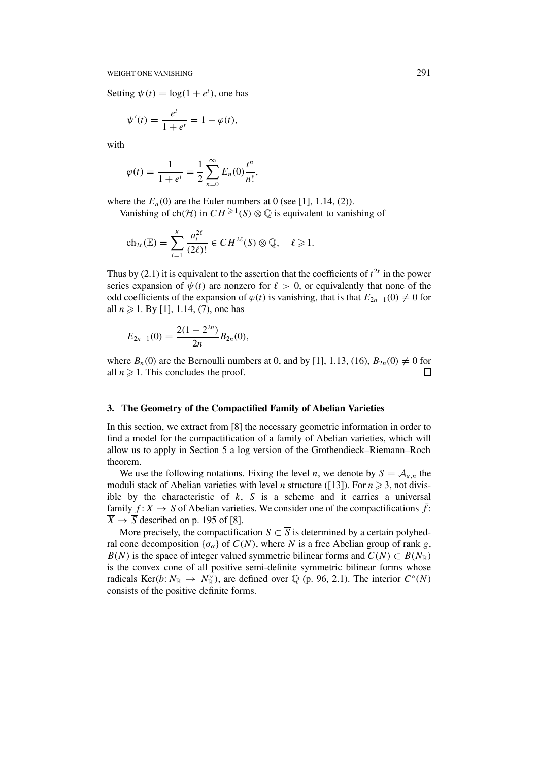Setting  $\psi(t) = \log(1 + e^t)$ , one has

$$
\psi'(t) = \frac{e^t}{1 + e^t} = 1 - \varphi(t),
$$

with

$$
\varphi(t) = \frac{1}{1+e^t} = \frac{1}{2} \sum_{n=0}^{\infty} E_n(0) \frac{t^n}{n!},
$$

where the  $E_n(0)$  are the Euler numbers at 0 (see [1], 1.14, (2)).

Vanishing of ch $(H)$  in  $CH^{\geq 1}(S) \otimes \mathbb{Q}$  is equivalent to vanishing of

$$
ch_{2\ell}(\mathbb{E}) = \sum_{i=1}^{g} \frac{a_i^{2\ell}}{(2\ell)!} \in CH^{2\ell}(S) \otimes \mathbb{Q}, \quad \ell \geq 1.
$$

Thus by (2.1) it is equivalent to the assertion that the coefficients of  $t^{2\ell}$  in the power series expansion of  $\psi(t)$  are nonzero for  $\ell > 0$ , or equivalently that none of the odd coefficients of the expansion of  $\varphi(t)$  is vanishing, that is that  $E_{2n-1}(0) \neq 0$  for all  $n \ge 1$ . By [1], 1.14, (7), one has

$$
E_{2n-1}(0) = \frac{2(1-2^{2n})}{2n}B_{2n}(0),
$$

where  $B_n(0)$  are the Bernoulli numbers at 0, and by [1], 1.13, (16),  $B_{2n}(0) \neq 0$  for all  $n \geq 1$ . This concludes the proof.  $\Box$ 

## **3. The Geometry of the Compactified Family of Abelian Varieties**

In this section, we extract from [8] the necessary geometric information in order to find a model for the compactification of a family of Abelian varieties, which will allow us to apply in Section 5 a log version of the Grothendieck–Riemann–Roch theorem.

We use the following notations. Fixing the level *n*, we denote by  $S = A_{g,n}$  the moduli stack of Abelian varieties with level *n* structure ([13]). For  $n \ge 3$ , not divisible by the characteristic of  $k$ ,  $S$  is a scheme and it carries a universal family  $f: X \to S$  of Abelian varieties. We consider one of the compactifications  $\bar{f}$ :  $\overline{X} \rightarrow \overline{S}$  described on p. 195 of [8].

More precisely, the compactification  $S \subset \overline{S}$  is determined by a certain polyhedral cone decomposition  $\{\sigma_{\alpha}\}\$  of  $C(N)$ , where *N* is a free Abelian group of rank *g*, *B(N)* is the space of integer valued symmetric bilinear forms and  $C(N) \subset B(N_{\mathbb{R}})$ is the convex cone of all positive semi-definite symmetric bilinear forms whose radicals Ker(b:  $N_{\mathbb{R}} \to N_{\mathbb{R}}^{\vee}$ ), are defined over  $\mathbb{Q}$  (p. 96, 2.1). The interior  $C^{\circ}(N)$ consists of the positive definite forms.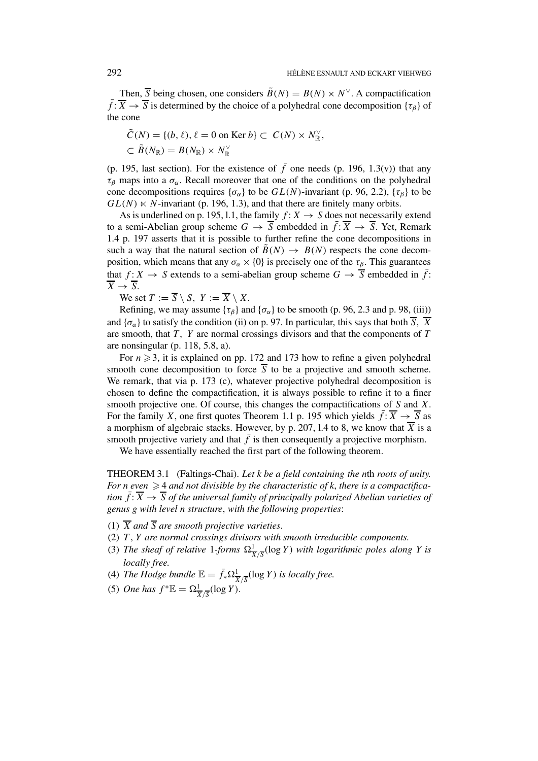Then,  $\overline{S}$  being chosen, one considers  $\widetilde{B}(N) = B(N) \times N^{\vee}$ . A compactification  $\bar{f}$ :  $\bar{X}$  →  $\bar{S}$  is determined by the choice of a polyhedral cone decomposition {*τ*<sub>β</sub>} of the cone

$$
\tilde{C}(N) = \{(b, \ell), \ell = 0 \text{ on } \text{Ker } b\} \subset C(N) \times N_{\mathbb{R}}^{\vee},
$$
  

$$
\subset \tilde{B}(N_{\mathbb{R}}) = B(N_{\mathbb{R}}) \times N_{\mathbb{R}}^{\vee}
$$

(p. 195, last section). For the existence of  $\bar{f}$  one needs (p. 196, 1.3(v)) that any  $\tau_\beta$  maps into a  $\sigma_\alpha$ . Recall moreover that one of the conditions on the polyhedral cone decompositions requires  $\{\sigma_{\alpha}\}\$  to be  $GL(N)$ -invariant (p. 96, 2.2),  $\{\tau_{\beta}\}\$  to be  $GL(N) \ltimes N$ -invariant (p. 196, 1.3), and that there are finitely many orbits.

As is underlined on p. 195, 1.1, the family  $f: X \rightarrow S$  does not necessarily extend to a semi-Abelian group scheme  $G \to \overline{S}$  embedded in  $\overline{f} : \overline{X} \to \overline{S}$ . Yet, Remark 1.4 p. 197 asserts that it is possible to further refine the cone decompositions in such a way that the natural section of  $B(N) \rightarrow B(N)$  respects the cone decomposition, which means that any  $\sigma_{\alpha} \times \{0\}$  is precisely one of the  $\tau_{\beta}$ . This guarantees that  $f: X \to S$  extends to a semi-abelian group scheme  $G \to \overline{S}$  embedded in  $\overline{f}$ :  $\overline{X} \rightarrow \overline{S}$ .

We set  $T := \overline{S} \setminus S$ ,  $Y := \overline{X} \setminus X$ .

Refining, we may assume  $\{\tau_\beta\}$  and  $\{\sigma_\alpha\}$  to be smooth (p. 96, 2.3 and p. 98, (iii)) and  $\{\sigma_{\alpha}\}\$ to satisfy the condition (ii) on p. 97. In particular, this says that both  $\overline{S}$ ,  $\overline{X}$ are smooth, that *T, Y* are normal crossings divisors and that the components of *T* are nonsingular (p. 118, 5.8, a).

For  $n \geq 3$ , it is explained on pp. 172 and 173 how to refine a given polyhedral smooth cone decomposition to force  $\overline{S}$  to be a projective and smooth scheme. We remark, that via p. 173 (c), whatever projective polyhedral decomposition is chosen to define the compactification, it is always possible to refine it to a finer smooth projective one. Of course, this changes the compactifications of *S* and *X*. For the family *X*, one first quotes Theorem 1.1 p. 195 which yields  $\bar{f}$ :  $\overline{X} \rightarrow \overline{S}$  as a morphism of algebraic stacks. However, by p. 207, 1.4 to 8, we know that  $\overline{X}$  is a smooth projective variety and that  $\bar{f}$  is then consequently a projective morphism.

We have essentially reached the first part of the following theorem.

THEOREM 3.1 (Faltings-Chai). *Let k be a field containing the n*th *roots of unity.* For *n* even  $\geq$  4 *and not divisible by the characteristic of k, there is a compactification*  $\bar{f}$ :  $\bar{X}$   $\rightarrow$   $\bar{S}$  *of the universal family of principally polarized Abelian varieties of genus g with level n structure*, *with the following properties*:

- (1)  $\overline{X}$  *and*  $\overline{S}$  *are smooth projective varieties.*
- (2) *T* , *Y are normal crossings divisors with smooth irreducible components.*
- (3) The sheaf of relative 1-forms  $\Omega^1_{\overline{X}/\overline{S}}(\log Y)$  with logarithmic poles along Y is *locally free.*
- (4) *The Hodge bundle*  $\mathbb{E} = \overline{f}_* \Omega^1_{\overline{X}/\overline{S}}(\log Y)$  *is locally free.*
- (5) *One has*  $f^* \mathbb{E} = \Omega^1_{\overline{X}/\overline{S}}(\log Y)$ .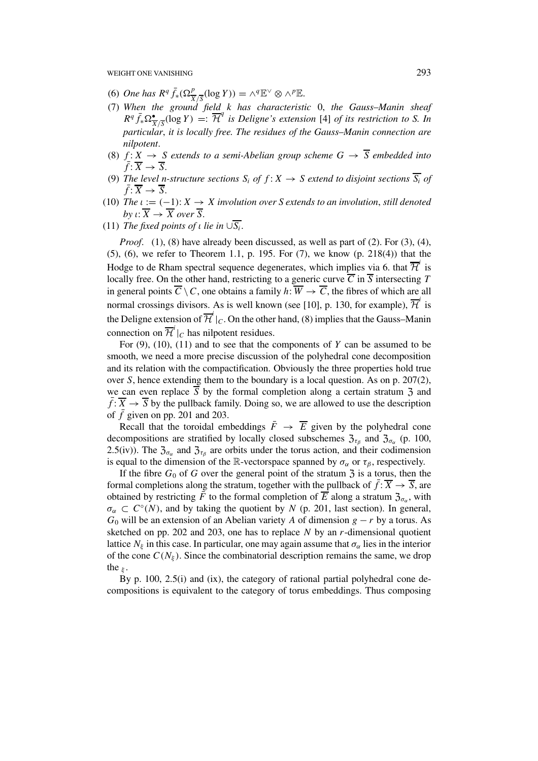- $(6)$  *One has*  $R^q \bar{f}_*(\Omega^p_{\overline{X}/\overline{S}}(\log Y)) = \wedge^q \mathbb{E}^{\vee} \otimes \wedge^p \mathbb{E}.$
- (7) *When the ground field k has characteristic* 0, *the Gauss*–*Manin sheaf*  $R^q \bar{f}_* \Omega^{\bullet}_{\overline{X}/\overline{S}}(\log Y) =: \overline{\mathcal{H}}^q$  *is Deligne's extension* [4] *of its restriction to S. In particular*, *it is locally free. The residues of the Gauss*–*Manin connection are nilpotent*.
- (8)  $f: X \rightarrow S$  *extends to a semi-Abelian group scheme*  $G \rightarrow \overline{S}$  *embedded into*  $\overline{f}$ :  $\overline{X} \rightarrow \overline{S}$ .
- (9) The level n-structure sections  $S_i$  of  $f: X \rightarrow S$  extend to disjoint sections  $\overline{S_i}$  of  $\bar{f}: \overline{X} \to \overline{S}.$
- (10) *The*  $\iota := (-1)$ :  $X \to X$  *involution over S extends to an involution, still denoted by ι*:  $\overline{X} \rightarrow \overline{X}$  *over*  $\overline{S}$ .
- (11) *The fixed points of <i>ι lie in*  $\cup \overline{S_i}$ *.*

*Proof.* (1), (8) have already been discussed, as well as part of (2). For (3), (4), (5), (6), we refer to Theorem 1.1, p. 195. For (7), we know (p. 218(4)) that the Hodge to de Rham spectral sequence degenerates, which implies via 6. that  $\overline{\mathcal{H}}^i$  is locally free. On the other hand, restricting to a generic curve  $\overline{C}$  in  $\overline{S}$  intersecting  $T$ in general points  $\overline{C} \setminus C$ , one obtains a family  $h: \overline{W} \to \overline{C}$ , the fibres of which are all normal crossings divisors. As is well known (see [10], p. 130, for example),  $\overline{\mathcal{H}}^i$  is the Deligne extension of  $\overline{\mathcal{H}}^i|_C$ . On the other hand, (8) implies that the Gauss–Manin connection on  $\overline{\mathcal{H}}^i|_C$  has nilpotent residues.

For (9), (10), (11) and to see that the components of *Y* can be assumed to be smooth, we need a more precise discussion of the polyhedral cone decomposition and its relation with the compactification. Obviously the three properties hold true over *S*, hence extending them to the boundary is a local question. As on p. 207(2), we can even replace  $\overline{S}$  by the formal completion along a certain stratum  $\overline{S}$  and  $\overline{f}$ :  $\overline{X}$   $\rightarrow$   $\overline{S}$  by the pullback family. Doing so, we are allowed to use the description of  $\bar{f}$  given on pp. 201 and 203.

Recall that the toroidal embeddings  $\overline{F} \rightarrow \overline{E}$  given by the polyhedral cone decompositions are stratified by locally closed subschemes  $\mathfrak{Z}_{\tau_\beta}$  and  $\mathfrak{Z}_{\sigma_\alpha}$  (p. 100, 2.5(iv)). The  $\mathfrak{Z}_{\sigma_{\alpha}}$  and  $\mathfrak{Z}_{\tau_{\beta}}$  are orbits under the torus action, and their codimension is equal to the dimension of the R-vectorspace spanned by  $\sigma_{\alpha}$  or  $\tau_{\beta}$ , respectively.

If the fibre  $G_0$  of  $G$  over the general point of the stratum  $\overline{3}$  is a torus, then the formal completions along the stratum, together with the pullback of  $f: \overline{X} \to \overline{S}$ , are obtained by restricting  $\bar{F}$  to the formal completion of  $\bar{E}$  along a stratum  $\mathfrak{Z}_{\sigma_{\alpha}}$ , with  $\sigma_{\alpha} \subset C^{\circ}(N)$ , and by taking the quotient by *N* (p. 201, last section). In general,  $G_0$  will be an extension of an Abelian variety *A* of dimension  $g - r$  by a torus. As sketched on pp. 202 and 203, one has to replace *N* by an *r*-dimensional quotient lattice  $N_{\xi}$  in this case. In particular, one may again assume that  $\sigma_{\alpha}$  lies in the interior of the cone  $C(N_{\xi})$ . Since the combinatorial description remains the same, we drop the *<sup>ξ</sup>* .

By p. 100, 2.5(i) and (ix), the category of rational partial polyhedral cone decompositions is equivalent to the category of torus embeddings. Thus composing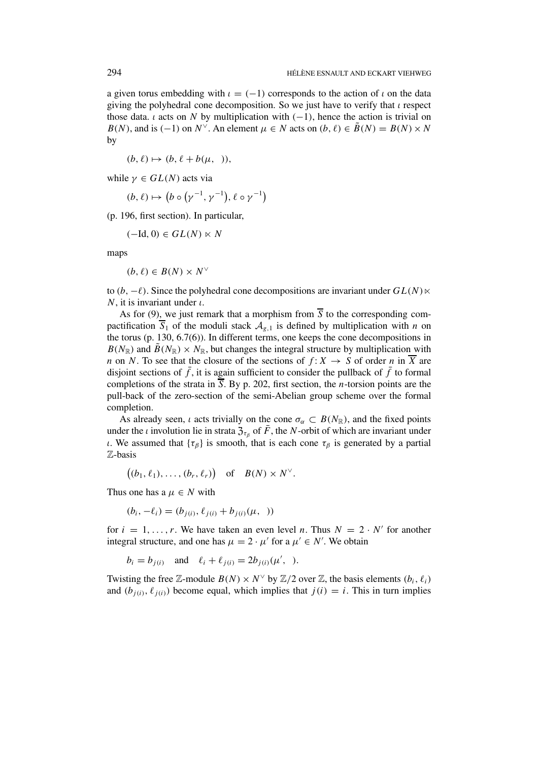a given torus embedding with  $\iota = (-1)$  corresponds to the action of  $\iota$  on the data giving the polyhedral cone decomposition. So we just have to verify that *ι* respect those data. *ι* acts on *N* by multiplication with  $(-1)$ , hence the action is trivial on *B(N)*, and is (-1) on  $N^{\vee}$ . An element  $\mu \in N$  acts on  $(b, \ell) \in \tilde{B}(N) = B(N) \times N$ by

 $(b, \ell) \mapsto (b, \ell + b(u, \lambda))$ 

while  $\gamma \in GL(N)$  acts via

$$
(b, \ell) \mapsto (b \circ (\gamma^{-1}, \gamma^{-1}), \ell \circ \gamma^{-1})
$$

(p. 196, first section). In particular,

$$
(-\mathrm{Id}, 0) \in GL(N) \ltimes N
$$

maps

$$
(b,\ell)\in B(N)\times N^\vee
$$

to  $(b, -\ell)$ . Since the polyhedral cone decompositions are invariant under  $GL(N)$   $\times$ *N*, it is invariant under *ι*.

As for (9), we just remark that a morphism from  $\overline{S}$  to the corresponding compactification  $\overline{S}_1$  of the moduli stack  $A_{g,1}$  is defined by multiplication with *n* on the torus (p. 130, 6.7(6)). In different terms, one keeps the cone decompositions in  $B(N_{\mathbb{R}})$  and  $\tilde{B}(N_{\mathbb{R}}) \times N_{\mathbb{R}}$ , but changes the integral structure by multiplication with *n* on *N*. To see that the closure of the sections of  $f: X \rightarrow S$  of order *n* in  $\overline{X}$  are disjoint sections of  $\bar{f}$ , it is again sufficient to consider the pullback of  $\bar{f}$  to formal completions of the strata in *S*. By p. 202, first section, the *n*-torsion points are the pull-back of the zero-section of the semi-Abelian group scheme over the formal completion.

As already seen, *ι* acts trivially on the cone  $\sigma_{\alpha} \subset B(N_{\mathbb{R}})$ , and the fixed points under the *ι* involution lie in strata  $\mathfrak{Z}_{\tau_{\beta}}$  of  $\bar{F}$ , the *N*-orbit of which are invariant under *ι*. We assumed that  $\{\tau_\beta\}$  is smooth, that is each cone  $\tau_\beta$  is generated by a partial Z-basis

$$
((b_1,\ell_1),\ldots,(b_r,\ell_r)) \text{ of } B(N) \times N^{\vee}.
$$

Thus one has a  $\mu \in N$  with

$$
(b_i, -\ell_i) = (b_{j(i)}, \ell_{j(i)} + b_{j(i)}(\mu,))
$$

for  $i = 1, \ldots, r$ . We have taken an even level *n*. Thus  $N = 2 \cdot N'$  for another integral structure, and one has  $\mu = 2 \cdot \mu'$  for a  $\mu' \in N'$ . We obtain

$$
b_i = b_{j(i)}
$$
 and  $\ell_i + \ell_{j(i)} = 2b_{j(i)}(\mu', ).$ 

Twisting the free Z-module  $B(N) \times N^{\vee}$  by  $\mathbb{Z}/2$  over Z, the basis elements  $(b_i, \ell_i)$ and  $(b_{i(i)}, \ell_{i(i)})$  become equal, which implies that  $j(i) = i$ . This in turn implies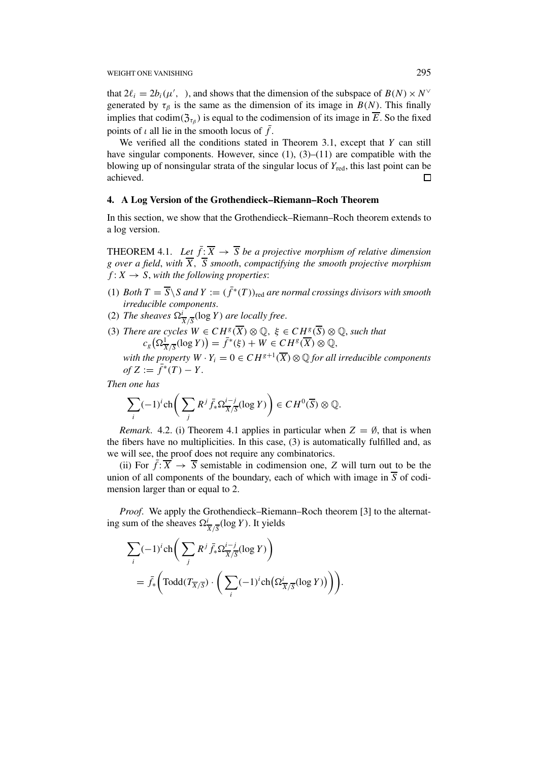that  $2\ell_i = 2b_i(\mu', \cdot)$ , and shows that the dimension of the subspace of  $B(N) \times N^{\vee}$ generated by  $\tau_\beta$  is the same as the dimension of its image in  $B(N)$ . This finally implies that codim( $\mathfrak{Z}_{\tau_{\beta}}$ ) is equal to the codimension of its image in  $\overline{E}$ . So the fixed points of *ι* all lie in the smooth locus of  $\bar{f}$ .

We verified all the conditions stated in Theorem 3.1, except that *Y* can still have singular components. However, since  $(1)$ ,  $(3)$ – $(11)$  are compatible with the blowing up of nonsingular strata of the singular locus of *Y*red, this last point can be achieved.  $\Box$ 

#### **4. A Log Version of the Grothendieck–Riemann–Roch Theorem**

In this section, we show that the Grothendieck–Riemann–Roch theorem extends to a log version.

THEOREM 4.1. Let  $\bar{f}$ :  $\overline{X} \rightarrow \overline{S}$  *be a projective morphism of relative dimension g over a field*, *with X, S smooth*, *compactifying the smooth projective morphism*  $f: X \rightarrow S$ , with the following properties:

- $(1)$  *Both*  $T = \overline{S} \setminus S$  *and*  $Y := (\overline{f}^*(T))_{\text{red}}$  *are normal crossings divisors with smooth irreducible components*.
- (2) *The sheaves*  $\Omega^i_{\overline{X}/\overline{S}}(\log Y)$  *are locally free.*
- (3) *There are cycles*  $W \in CH^g(\overline{X}) \otimes \mathbb{Q}$ ,  $\xi \in CH^g(\overline{S}) \otimes \mathbb{Q}$ , *such that*  $c_g\left(\Omega \frac{1}{\overline{X}/\overline{S}}(\log Y)\right) = \overline{f}^*(\xi) + W \in CH^g(\overline{X}) \otimes \mathbb{Q},$

*with the property*  $W \cdot Y_i = 0 \in CH^{g+1}(\overline{X}) \otimes \mathbb{Q}$  *for all irreducible components*  $of Z := \bar{f}^*(T) - Y.$ 

*Then one has*

$$
\sum_{i} (-1)^{i} \operatorname{ch} \bigg( \sum_{j} R^{j} \overline{f_{*}} \Omega_{\overline{X}/\overline{S}}^{i-j} (\log Y) \bigg) \in CH^{0}(\overline{S}) \otimes \mathbb{Q}.
$$

*Remark.* 4.2. (i) Theorem 4.1 applies in particular when  $Z = \emptyset$ , that is when the fibers have no multiplicities. In this case, (3) is automatically fulfilled and, as we will see, the proof does not require any combinatorics.

(ii) For  $\bar{f}$ :  $\overline{X}$   $\rightarrow$   $\overline{S}$  semistable in codimension one, *Z* will turn out to be the union of all components of the boundary, each of which with image in  $\overline{S}$  of codimension larger than or equal to 2.

*Proof.* We apply the Grothendieck–Riemann–Roch theorem [3] to the alternating sum of the sheaves  $\Omega^i_{\overline{X}/\overline{S}}(\log Y)$ . It yields

$$
\sum_{i} (-1)^{i} \operatorname{ch} \left( \sum_{j} R^{j} \overline{f}_{*} \Omega^{i-j}_{\overline{X}/\overline{S}} (\log Y) \right)
$$
  
=  $\overline{f}_{*} \left( \operatorname{Todd} (\overline{T_{\overline{X}}/\overline{S}}) \cdot \left( \sum_{i} (-1)^{i} \operatorname{ch} (\Omega^{i}_{\overline{X}/\overline{S}} (\log Y)) \right) \right).$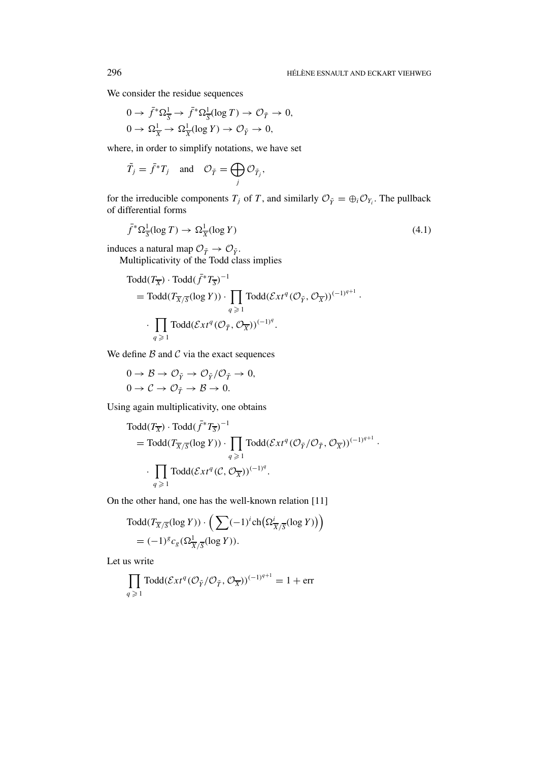We consider the residue sequences

$$
0 \to \bar{f}^* \Omega_{\overline{S}}^1 \to \bar{f}^* \Omega_{\overline{S}}^1(\log T) \to \mathcal{O}_{\tilde{T}} \to 0,
$$
  

$$
0 \to \Omega_{\overline{X}}^1 \to \Omega_{\overline{X}}^1(\log Y) \to \mathcal{O}_{\tilde{Y}} \to 0,
$$

where, in order to simplify notations, we have set

$$
\tilde{T}_j = \bar{f}^* T_j \quad \text{and} \quad \mathcal{O}_{\tilde{T}} = \bigoplus_j \mathcal{O}_{\tilde{T}_j},
$$

for the irreducible components  $T_j$  of  $T$ , and similarly  $\mathcal{O}_{\tilde{Y}} = \bigoplus_i \mathcal{O}_{Y_i}$ . The pullback of differential forms

$$
\bar{f}^* \Omega_{\overline{S}}^1(\log T) \to \Omega_{\overline{X}}^1(\log Y) \tag{4.1}
$$

induces a natural map  $\mathcal{O}_{\tilde{T}} \to \mathcal{O}_{\tilde{Y}}$ .

Multiplicativity of the Todd class implies

$$
Todd(TX) · Todd(f∗ TS)-1
$$
  
= Todd(T<sub>X/S</sub>(log Y)) · ∏<sub>q ≥ 1</sub> Todd(*Ext*<sup>q</sup>(*O*<sub>γ̄</sub>, *O*<sub>X</sub>))<sup>(-1)<sup>q+1</sup></sup> ·  
· ∫<sub>q ≥ 1</sub> Todd(*Ext*<sup>q</sup>(*O*<sub>Γ̄</sub>, *O*<sub>X</sub>))<sup>(-1)<sup>q</sup></sup>.

We define  $B$  and  $C$  via the exact sequences

$$
0 \to \mathcal{B} \to \mathcal{O}_{\tilde{Y}} \to \mathcal{O}_{\tilde{Y}}/\mathcal{O}_{\tilde{T}} \to 0,
$$
  

$$
0 \to \mathcal{C} \to \mathcal{O}_{\tilde{T}} \to \mathcal{B} \to 0.
$$

Using again multiplicativity, one obtains

$$
Todd(T_{\overline{X}}) \cdot Todd(\overline{f}^*T_{\overline{S}})^{-1}
$$
  
=  $Todd(T_{\overline{X}/\overline{S}}(log Y)) \cdot \prod_{q \geq 1} Todd(\mathcal{E}xt^q (\mathcal{O}_{\tilde{Y}}/\mathcal{O}_{\tilde{T}}, \mathcal{O}_{\overline{X}}))^{(-1)^{q+1}}.$   
·  $\prod_{q \geq 1} Todd(\mathcal{E}xt^q (\mathcal{C}, \mathcal{O}_{\overline{X}}))^{(-1)^q}.$ 

On the other hand, one has the well-known relation [11]

$$
\text{Total}(T_{\overline{X}/\overline{S}}(\log Y)) \cdot \left( \sum (-1)^i \text{ch}\left(\Omega^i_{\overline{X}/\overline{S}}(\log Y)\right) \right)
$$
  
=  $(-1)^g c_g \left(\Omega^1_{\overline{X}/\overline{S}}(\log Y)\right).$ 

Let us write

$$
\prod_{q \geqslant 1} \text{ Todd}(\mathcal{E}xt^q(\mathcal{O}_{\tilde{Y}}/\mathcal{O}_{\tilde{T}}, \mathcal{O}_{\overline{X}}))^{(-1)^{q+1}} = 1 + \text{err}
$$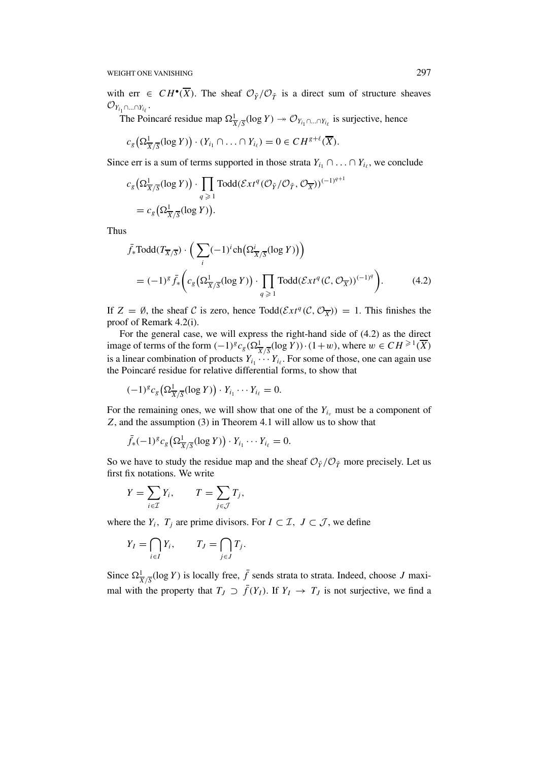WEIGHT ONE VANISHING 297

with err  $\in CH^{\bullet}(\overline{X})$ . The sheaf  $\mathcal{O}_{\tilde{Y}}/\mathcal{O}_{\tilde{T}}$  is a direct sum of structure sheaves  $\mathcal{O}_{Y_{i_1}\cap...\cap Y_{i_\ell}}.$ 

The Poincaré residue map  $\Omega^1_{\overline{X}/\overline{S}}(\log Y) \to \mathcal{O}_{Y_{i_1} \cap ... \cap Y_{i_\ell}}$  is surjective, hence

$$
c_g\left(\Omega^1_{\overline{X}/\overline{S}}(\log Y)\right)\cdot(Y_{i_1}\cap\ldots\cap Y_{i_\ell})=0\in CH^{g+\ell}(\overline{X}).
$$

Since err is a sum of terms supported in those strata  $Y_{i_1} \cap \ldots \cap Y_{i_\ell}$ , we conclude

$$
c_g\left(\Omega^1_{\overline{X}/\overline{S}}(\log Y)\right) \cdot \prod_{q \geqslant 1} \text{Todd}(\mathcal{E}xt^q (\mathcal{O}_{\tilde{Y}}/\mathcal{O}_{\tilde{T}}, \mathcal{O}_{\overline{X}}))^{(-1)^{q+1}}
$$
  
=  $c_g\left(\Omega^1_{\overline{X}/\overline{S}}(\log Y)\right)$ .

Thus

$$
\bar{f}_{*} \text{Total}(T_{\overline{X}/\overline{S}}) \cdot \left( \sum_{i} (-1)^{i} \text{ch}\big(\Omega_{\overline{X}/\overline{S}}^{i}(\log Y)\big) \right)
$$
\n
$$
= (-1)^{g} \bar{f}_{*} \left( c_{g} \big(\Omega_{\overline{X}/\overline{S}}^{1}(\log Y)\big) \cdot \prod_{q \geqslant 1} \text{ Todd}(\mathcal{E}xt^{q}(\mathcal{C}, \mathcal{O}_{\overline{X}}))^{(-1)^{q}} \right). \tag{4.2}
$$

If  $Z = \emptyset$ , the sheaf C is zero, hence Todd $(\mathcal{E}xt^q(\mathcal{C}, \mathcal{O}_{\overline{X}})) = 1$ . This finishes the proof of Remark 4.2(i).

For the general case, we will express the right-hand side of (4.2) as the direct image of terms of the form  $(-1)^g c_g(\Omega^1_{\overline{X}/\overline{S}}(\log Y)) \cdot (1+w)$ , where  $w \in CH^{\geq 1}(\overline{X})$ is a linear combination of products  $Y_{i_1} \cdots Y_{i_\ell}$ . For some of those, one can again use the Poincaré residue for relative differential forms, to show that

$$
(-1)^{g} c_g \left( \Omega^1_{\overline{X}/\overline{S}}(\log Y) \right) \cdot Y_{i_1} \cdots Y_{i_\ell} = 0.
$$

For the remaining ones, we will show that one of the  $Y_{i<sub>u</sub>}$  must be a component of *Z*, and the assumption (3) in Theorem 4.1 will allow us to show that

$$
\bar{f}_{*}(-1)^{g} c_{g} \left( \Omega \frac{1}{X/\overline{S}} (\log Y) \right) \cdot Y_{i_{1}} \cdots Y_{i_{\ell}} = 0.
$$

So we have to study the residue map and the sheaf  $\mathcal{O}_{\tilde{Y}}/\mathcal{O}_{\tilde{T}}$  more precisely. Let us first fix notations. We write

$$
Y = \sum_{i \in \mathcal{I}} Y_i, \qquad T = \sum_{j \in \mathcal{J}} T_j,
$$

where the  $Y_i$ ,  $T_j$  are prime divisors. For  $I \subset \mathcal{I}$ ,  $J \subset \mathcal{J}$ , we define

$$
Y_I = \bigcap_{i \in I} Y_i, \qquad T_J = \bigcap_{j \in J} T_j.
$$

Since  $\Omega^1_{\overline{X}/\overline{S}}(\log Y)$  is locally free,  $\overline{f}$  sends strata to strata. Indeed, choose *J* maximal with the property that  $T_J \supset \overline{f}(Y_I)$ . If  $Y_I \to T_J$  is not surjective, we find a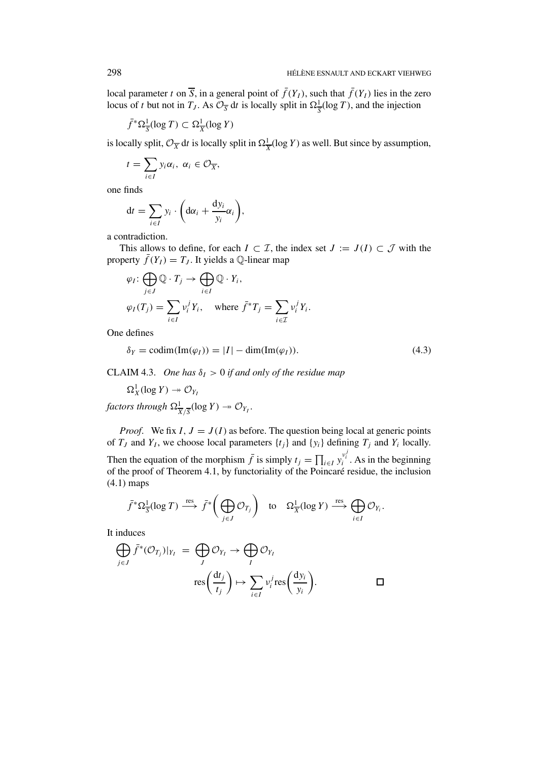local parameter *t* on  $\overline{S}$ , in a general point of  $\overline{f}(Y_I)$ , such that  $\overline{f}(Y_I)$  lies in the zero locus of *t* but not in  $T_J$ . As  $\mathcal{O}_{\overline{S}}$  d*t* is locally split in  $\Omega_{\overline{S}}^1(\log T)$ , and the injection

$$
\bar{f}^* \Omega_{\overline{S}}^1(\log T) \subset \Omega_{\overline{X}}^1(\log Y)
$$

is locally split,  $\mathcal{O}_{\overline{X}}$  dt is locally split in  $\Omega^1_{\overline{X}}(\log Y)$  as well. But since by assumption,

$$
t=\sum_{i\in I}y_i\alpha_i,\ \alpha_i\in\mathcal{O}_{\overline{X}},
$$

one finds

$$
dt = \sum_{i \in I} y_i \cdot \left( d\alpha_i + \frac{dy_i}{y_i} \alpha_i \right),
$$

a contradiction.

This allows to define, for each  $I \subset \mathcal{I}$ , the index set  $J := J(I) \subset \mathcal{J}$  with the property  $\bar{f}(Y_I) = T_J$ . It yields a Q-linear map

$$
\varphi_I: \bigoplus_{j \in J} \mathbb{Q} \cdot T_j \to \bigoplus_{i \in I} \mathbb{Q} \cdot Y_i,
$$
  

$$
\varphi_I(T_j) = \sum_{i \in I} v_i^j Y_i, \quad \text{where } \bar{f}^* T_j = \sum_{i \in \mathcal{I}} v_i^j Y_i.
$$

One defines

$$
\delta_Y = \text{codim}(\text{Im}(\varphi_I)) = |I| - \text{dim}(\text{Im}(\varphi_I)).\tag{4.3}
$$

CLAIM 4.3. One has  $\delta_I > 0$  if and only of the residue map

 $\Omega^1_X(\log Y) \twoheadrightarrow \mathcal{O}_{Y_I}$ 

*factors through*  $\Omega^1_{\overline{X}/\overline{S}}(\log Y) \twoheadrightarrow \mathcal{O}_{Y_I}$ .

*Proof.* We fix  $I, J = J(I)$  as before. The question being local at generic points of  $T_j$  and  $Y_l$ , we choose local parameters  $\{t_j\}$  and  $\{y_i\}$  defining  $T_j$  and  $Y_i$  locally. Then the equation of the morphism  $\bar{f}$  is simply  $t_j = \prod_{i \in I} y_i^{v_i^j}$ . As in the beginning of the proof of Theorem 4.1, by functoriality of the Poincaré residue, the inclusion (4.1) maps

$$
\bar{f}^* \Omega_{\overline{S}}^1(\log T) \stackrel{\text{res}}{\longrightarrow} \bar{f}^* \bigg( \bigoplus_{j \in J} \mathcal{O}_{T_j} \bigg) \quad \text{to} \quad \Omega_{\overline{X}}^1(\log Y) \stackrel{\text{res}}{\longrightarrow} \bigoplus_{i \in I} \mathcal{O}_{Y_i}.
$$

It induces

$$
\bigoplus_{j \in J} \bar{f}^*(\mathcal{O}_{T_j})|_{Y_I} = \bigoplus_{J} \mathcal{O}_{Y_I} \rightarrow \bigoplus_{I} \mathcal{O}_{Y_I}
$$

$$
res\left(\frac{dt_j}{t_j}\right) \mapsto \sum_{i \in I} v_i^j res\left(\frac{dy_i}{y_i}\right).
$$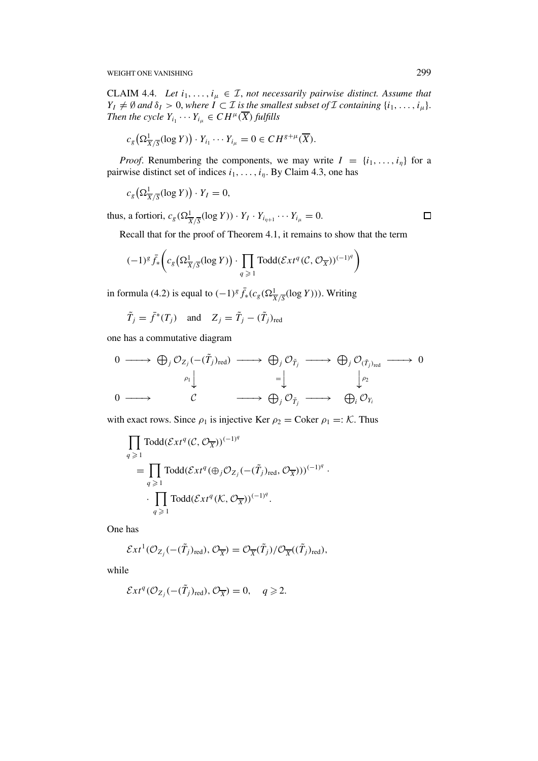WEIGHT ONE VANISHING 299

CLAIM 4.4. *Let*  $i_1, \ldots, i_\mu \in \mathcal{I}$ , *not necessarily pairwise distinct. Assume that*  $Y_I \neq \emptyset$  *and*  $\delta_I > 0$ , *where*  $I \subset I$  *is the smallest subset of*  $I$  *containing*  $\{i_1, \ldots, i_{\mu}\}.$ *Then the cycle*  $Y_{i_1} \cdots Y_{i_\mu} \in CH^\mu(\overline{X})$  *fulfills* 

$$
c_g\big(\Omega^1_{\overline{X}/\overline{S}}(\log Y)\big)\cdot Y_{i_1}\cdots Y_{i_\mu}=0\in CH^{g+\mu}(\overline{X}).
$$

*Proof.* Renumbering the components, we may write  $I = \{i_1, \ldots, i_n\}$  for a pairwise distinct set of indices *i*1*,...,iη*. By Claim 4.3, one has

$$
c_g\left(\Omega^1_{\overline{X}/\overline{S}}(\log Y)\right)\cdot Y_I=0,
$$

thus, a fortiori,  $c_g(\Omega^1_{\overline{X}/\overline{S}}(\log Y)) \cdot Y_I \cdot Y_{i_{\eta+1}} \cdots Y_{i_{\mu}} = 0.$ 

 $\Box$ 

Recall that for the proof of Theorem 4.1, it remains to show that the term

$$
(-1)^{g} \bar{f}_{*}\bigg(c_{g}\big(\Omega_{\overline{X}/\overline{S}}^{1}(\log Y)\big) \cdot \prod_{q \geq 1} \text{Todd}(\mathcal{E}xt^{q}(\mathcal{C}, \mathcal{O}_{\overline{X}}))^{(-1)^{q}}\bigg)
$$

in formula (4.2) is equal to  $(-1)^g \bar{f}_*(c_g(\Omega^1_{\overline{X}/\overline{S}}(\log Y)))$ . Writing

$$
\tilde{T}_j = \tilde{f}^*(T_j)
$$
 and  $Z_j = \tilde{T}_j - (\tilde{T}_j)_{\text{red}}$ 

one has a commutative diagram

$$
\begin{array}{ccccccc}\n0 & \longrightarrow & \bigoplus_{j} \mathcal{O}_{Z_{j}}(-\tilde{T}_{j})_{\text{red}} & \longrightarrow & \bigoplus_{j} \mathcal{O}_{\tilde{T}_{j}} & \longrightarrow & \bigoplus_{j} \mathcal{O}_{(\tilde{T}_{j})_{\text{red}}} & \longrightarrow & 0 \\
 & & & & & \\
0 & \longrightarrow & & & & \\
0 & \longrightarrow & & & & \\
\end{array}
$$

with exact rows. Since  $\rho_1$  is injective Ker  $\rho_2$  = Coker  $\rho_1$  =: K. Thus

$$
\prod_{q \geq 1} \text{Todd}(\mathcal{E}xt^q(\mathcal{C}, \mathcal{O}_{\overline{X}}))^{(-1)^q}
$$
\n
$$
= \prod_{q \geq 1} \text{Todd}(\mathcal{E}xt^q(\bigoplus_j \mathcal{O}_{Z_j}(-(\tilde{T}_j)_{\text{red}}, \mathcal{O}_{\overline{X}})))^{(-1)^q}.
$$
\n
$$
\cdot \prod_{q \geq 1} \text{Todd}(\mathcal{E}xt^q(\mathcal{K}, \mathcal{O}_{\overline{X}}))^{(-1)^q}.
$$

One has

$$
\mathcal{E}xt^{1}(\mathcal{O}_{Z_{j}}(-(\tilde{T}_{j})_{\text{red}}),\mathcal{O}_{\overline{X}}) = \mathcal{O}_{\overline{X}}(\tilde{T}_{j})/\mathcal{O}_{\overline{X}}((\tilde{T}_{j})_{\text{red}}),
$$

while

$$
\mathcal{E}xt^q(\mathcal{O}_{Z_j}(-(\tilde{T}_j)_{\text{red}}), \mathcal{O}_{\overline{X}}) = 0, \quad q \geq 2.
$$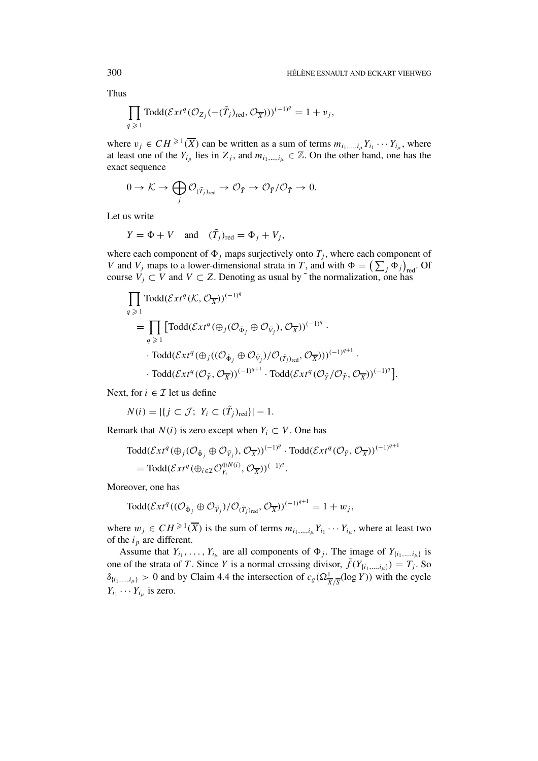Thus

$$
\prod_{q \geqslant 1} \text{Todd}(\mathcal{E}xt^q(\mathcal{O}_{Z_j}(-(\tilde{T}_j)_{\text{red}}, \mathcal{O}_{\overline{X}})))^{(-1)^q} = 1 + v_j,
$$

where  $v_j \in CH^{\geq 1}(\overline{X})$  can be written as a sum of terms  $m_{i_1,\dots,i_\mu} Y_{i_1} \cdots Y_{i_\mu}$ , where at least one of the  $Y_{i_p}$  lies in  $Z_j$ , and  $m_{i_1,\dots,i_k} \in \mathbb{Z}$ . On the other hand, one has the exact sequence

$$
0\to \mathcal{K}\to \bigoplus_j \mathcal{O}_{(\tilde{T}_j)_{\text{red}}}\to \mathcal{O}_{\tilde{Y}}\to \mathcal{O}_{\tilde{Y}}/\mathcal{O}_{\tilde{T}}\to 0.
$$

Let us write

$$
Y = \Phi + V \quad \text{and} \quad (\tilde{T}_j)_{\text{red}} = \Phi_j + V_j,
$$

where each component of  $\Phi_j$  maps surjectively onto  $T_j$ , where each component of *V* and *V<sub>j</sub>* maps to a lower-dimensional strata in *T*, and with  $\Phi = (\sum_j \Phi_j)_{\text{red}}$ . Of course  $V_j \subset V$  and  $V \subset Z$ . Denoting as usual by  $\tilde{ }$  the normalization, one has

$$
\begin{split}\n&\prod_{q \geq 1} \text{Todd}(\mathcal{E}xt^q(\mathcal{K}, \mathcal{O}_{\overline{X}}))^{(-1)^q} \\
&= \prod_{q \geq 1} \left[ \text{Todd}(\mathcal{E}xt^q(\bigoplus_j (\mathcal{O}_{\tilde{\Phi}_j} \oplus \mathcal{O}_{\tilde{V}_j}), \mathcal{O}_{\overline{X}}))^{(-1)^q} \cdot \right. \\
&\cdot \text{Todd}(\mathcal{E}xt^q(\bigoplus_j ((\mathcal{O}_{\tilde{\Phi}_j} \oplus \mathcal{O}_{\tilde{V}_j})/\mathcal{O}_{(\tilde{T}_j)_{\text{red}}}, \mathcal{O}_{\overline{X}})))^{(-1)^{q+1}} \cdot \\
&\cdot \text{Todd}(\mathcal{E}xt^q(\mathcal{O}_{\tilde{Y}}, \mathcal{O}_{\overline{X}}))^{(-1)^{q+1}} \cdot \text{Todd}(\mathcal{E}xt^q(\mathcal{O}_{\tilde{Y}}/\mathcal{O}_{\tilde{T}}, \mathcal{O}_{\overline{X}}))^{(-1)^q}].\n\end{split}
$$

Next, for  $i \in \mathcal{I}$  let us define

$$
N(i) = |\{j \subset \mathcal{J}; Y_i \subset (\tilde{T}_j)_{\text{red}}\}| - 1.
$$

Remark that  $N(i)$  is zero except when  $Y_i \subset V$ . One has

$$
\text{ Todd}(\mathcal{E}xt^q(\oplus_j(\mathcal{O}_{\tilde{\Phi}_j}\oplus \mathcal{O}_{\tilde{V}_j}),\mathcal{O}_{\overline{X}}))^{(-1)^q}\cdot \text{ Todd}(\mathcal{E}xt^q(\mathcal{O}_{\tilde{Y}},\mathcal{O}_{\overline{X}}))^{(-1)^{q+1}}
$$
\n
$$
= \text{ Todd}(\mathcal{E}xt^q(\oplus_{i\in\mathcal{I}}\mathcal{O}_{Y_i}^{\oplus N(i)},\mathcal{O}_{\overline{X}}))^{(-1)^q}.
$$

Moreover, one has

$$
\text{Todd}(\mathcal{E}xt^q((\mathcal{O}_{\tilde{\Phi}_j}\oplus \mathcal{O}_{\tilde{V}_j})/\mathcal{O}_{(\tilde{T}_j)_{\text{red}}},\mathcal{O}_{\overline{X}}))^{(-1)^{q+1}}=1+w_j,
$$

where  $w_j \in CH^{\geqslant 1}(\overline{X})$  is the sum of terms  $m_{i_1,\dots,i_\mu} Y_{i_1} \cdots Y_{i_\mu}$ , where at least two of the  $i_p$  are different.

Assume that  $Y_{i_1}, \ldots, Y_{i_\mu}$  are all components of  $\Phi_j$ . The image of  $Y_{\{i_1, \ldots, i_\mu\}}$  is one of the strata of *T*. Since *Y* is a normal crossing divisor,  $\bar{f}(Y_{\{i_1,\dots,i_\mu\}}) = T_j$ . So  $\delta$ <sub>{*i*1</sub>,...,*i<sub>µ</sub>*} > 0 and by Claim 4.4 the intersection of  $c_g(\Omega^1_{\overline{X}/\overline{S}}(\log Y))$  with the cycle  $Y_{i_1} \cdots Y_{i_n}$  is zero.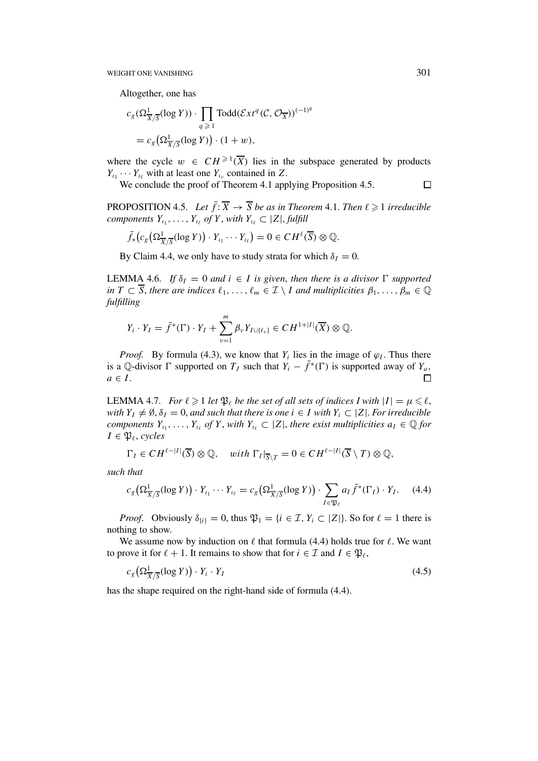Altogether, one has

$$
c_g(\Omega^1_{\overline{X}/\overline{S}}(\log Y)) \cdot \prod_{q \geqslant 1} \text{Todd}(\mathcal{E}xt^q(\mathcal{C}, \mathcal{O}_{\overline{X}}))^{(-1)^q}
$$
  
=  $c_g(\Omega^1_{\overline{X}/\overline{S}}(\log Y)) \cdot (1+w),$ 

where the cycle  $w \in CH^{\geq 1}(\overline{X})$  lies in the subspace generated by products  $Y_{i_1} \cdots Y_{i_\ell}$  with at least one  $Y_{i_\nu}$  contained in *Z*.

We conclude the proof of Theorem 4.1 applying Proposition 4.5.

**PROPOSITION 4.5.** *Let*  $\bar{f}$ **:**  $\overline{X} \rightarrow \overline{S}$  *be as in Theorem 4.1. Then*  $\ell \ge 1$  *irreducible components*  $Y_{i_1}, \ldots, Y_{i_\ell}$  *of*  $Y$ *, with*  $Y_{i_\ell} \subset |Z|$ *, fulfill* 

$$
\bar{f}_*(c_g\big(\Omega^1_{\overline{X}/\overline{S}}(\log Y)\big)\cdot Y_{\iota_1}\cdots Y_{\iota_\ell}\big)=0\in CH^{\ell}(\overline{S})\otimes\mathbb{Q}.
$$

By Claim 4.4, we only have to study strata for which  $\delta_I = 0$ .

LEMMA 4.6. *If*  $\delta_I = 0$  *and*  $i \in I$  *is given, then there is a divisor*  $\Gamma$  *supported in*  $T \subset \overline{S}$ *, there are indices*  $\ell_1, \ldots, \ell_m \in \mathcal{I} \setminus I$  *and multiplicities*  $\beta_1, \ldots, \beta_m \in \mathbb{Q}$ *fulfilling*

$$
Y_i \cdot Y_I = \bar{f}^*(\Gamma) \cdot Y_I + \sum_{\nu=1}^m \beta_{\nu} Y_{I \cup \{\ell_{\nu}\}} \in CH^{1+|I|}(\overline{X}) \otimes \mathbb{Q}.
$$

*Proof.* By formula (4.3), we know that  $Y_i$  lies in the image of  $\varphi_I$ . Thus there is a Q-divisor  $\Gamma$  supported on  $T_J$  such that  $Y_i - \bar{f}^*(\Gamma)$  is supported away of  $Y_a$ ,  $a \in I$ .  $\Box$ 

LEMMA 4.7. *For*  $\ell \geqslant 1$  *let*  $\mathfrak{P}_{\ell}$  *be the set of all sets of indices I with*  $|I| = \mu \leqslant \ell$ , *with*  $Y_I \neq \emptyset$ ,  $\delta_I = 0$ , *and such that there is one*  $i \in I$  *with*  $Y_i \subset |Z|$ . For irreducible *components*  $Y_{\iota_1}, \ldots, Y_{\iota_\ell}$  *of*  $Y$ *, with*  $Y_{\iota_\ell} \subset |Z|$ *, there exist multiplicities*  $a_I \in \mathbb{Q}$  *for*  $I \in \mathfrak{P}_{\ell}$ , *cycles* 

$$
\Gamma_I \in CH^{\ell-|I|}(\overline{S}) \otimes \mathbb{Q}, \quad with \; \Gamma_I|_{\overline{S}\setminus T} = 0 \in CH^{\ell-|I|}(\overline{S} \setminus T) \otimes \mathbb{Q},
$$

*such that*

$$
c_g\left(\Omega^1_{\overline{X}/\overline{S}}(\log Y)\right)\cdot Y_{\iota_1}\cdots Y_{\iota_\ell}=c_g\left(\Omega^1_{\overline{X}/\overline{S}}(\log Y)\right)\cdot \sum_{I\in\mathfrak{P}_\ell}a_I\bar{f}^*(\Gamma_I)\cdot Y_I.
$$
 (4.4)

*Proof.* Obviously  $\delta_{\{i\}} = 0$ , thus  $\mathfrak{P}_1 = \{i \in \mathcal{I}, Y_i \subset |Z|\}$ . So for  $\ell = 1$  there is nothing to show.

We assume now by induction on  $\ell$  that formula (4.4) holds true for  $\ell$ . We want to prove it for  $\ell + 1$ . It remains to show that for  $i \in \mathcal{I}$  and  $I \in \mathfrak{P}_{\ell}$ ,

$$
c_g\left(\Omega^1_{\overline{X}/\overline{S}}(\log Y)\right) \cdot Y_i \cdot Y_I \tag{4.5}
$$

has the shape required on the right-hand side of formula (4.4).

 $\Box$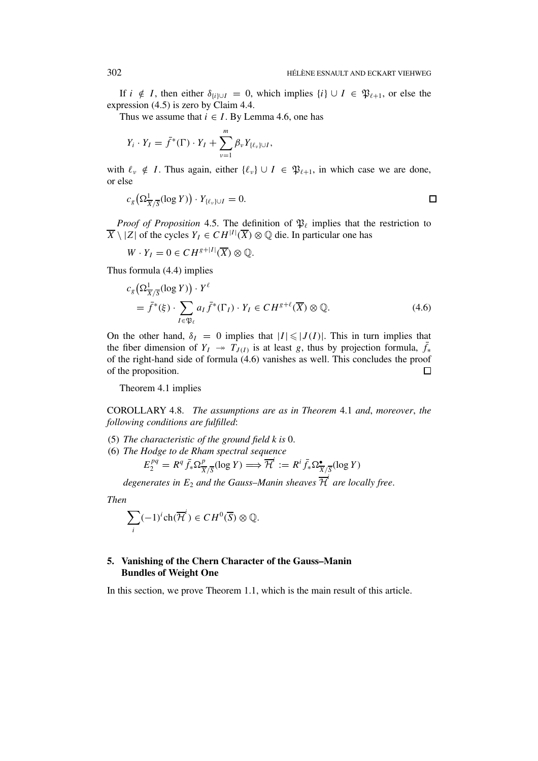If *i* ∉ *I*, then either  $\delta$ <sub>*ii*)∪*I* = 0, which implies {*i*} ∪ *I* ∈  $\mathfrak{P}_{\ell+1}$ , or else the</sub> expression (4.5) is zero by Claim 4.4.

Thus we assume that  $i \in I$ . By Lemma 4.6, one has

$$
Y_i \cdot Y_I = \bar{f}^*(\Gamma) \cdot Y_I + \sum_{\nu=1}^m \beta_{\nu} Y_{\{\ell_{\nu}\} \cup I},
$$

with  $\ell_{\nu} \notin I$ . Thus again, either  $\{\ell_{\nu}\} \cup I \in \mathfrak{P}_{\ell+1}$ , in which case we are done, or else

$$
c_g\left(\Omega^1_{\overline{X}/\overline{S}}(\log Y)\right)\cdot Y_{\{\ell_v\}\cup I}=0.\hspace{1cm}\square
$$

*Proof of Proposition* 4.5. The definition of  $\mathfrak{P}_{\ell}$  implies that the restriction to  $\overline{X} \setminus |Z|$  of the cycles  $Y_I \in CH^{|I|}(\overline{X}) \otimes \mathbb{Q}$  die. In particular one has

 $W \cdot Y_I = 0 \in CH^{g+|I|}(\overline{X}) \otimes \mathbb{Q}.$ 

Thus formula (4.4) implies

$$
c_g\left(\Omega^1_{\overline{X}/\overline{S}}(\log Y)\right) \cdot Y^{\ell}
$$
  
=  $\overline{f}^*(\xi) \cdot \sum_{I \in \mathfrak{P}_{\ell}} a_I \overline{f}^*(\Gamma_I) \cdot Y_I \in CH^{g+\ell}(\overline{X}) \otimes \mathbb{Q}.$  (4.6)

On the other hand,  $\delta_I = 0$  implies that  $|I| \leq |J(I)|$ . This in turn implies that the fiber dimension of  $Y_I \rightarrow \hat{T}_{J(I)}$  is at least *g*, thus by projection formula,  $\bar{f}_*$ of the right-hand side of formula (4.6) vanishes as well. This concludes the proof of the proposition.  $\Box$ 

Theorem 4.1 implies

COROLLARY 4.8. *The assumptions are as in Theorem* 4.1 *and*, *moreover*, *the following conditions are fulfilled*:

- (5) *The characteristic of the ground field k is* 0.
- (6) *The Hodge to de Rham spectral sequence*

$$
E_2^{pq} = R^q \bar{f}_* \Omega^p_{\overline{X}/\overline{S}}(\log Y) \Longrightarrow \overline{\mathcal{H}}^i := R^i \bar{f}_* \Omega^{\bullet}_{\overline{X}/\overline{S}}(\log Y)
$$

degenerates in  $E_2$  and the Gauss–Manin sheaves  $\overline{\mathcal{H}}^i$  are locally free.

*Then*

$$
\sum_i (-1)^i \operatorname{ch}(\overline{\mathcal{H}}^i) \in CH^0(\overline{S}) \otimes \mathbb{Q}.
$$

## **5. Vanishing of the Chern Character of the Gauss–Manin Bundles of Weight One**

In this section, we prove Theorem 1.1, which is the main result of this article.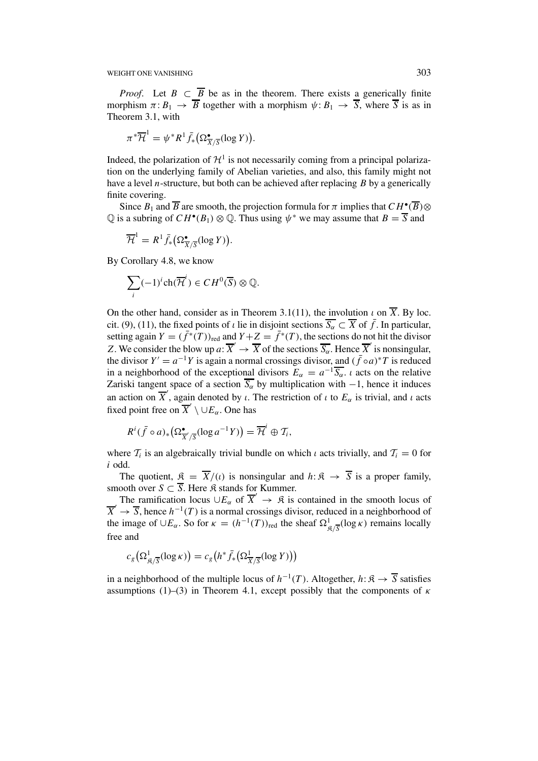WEIGHT ONE VANISHING 303

*Proof.* Let  $B \subset \overline{B}$  be as in the theorem. There exists a generically finite morphism  $\pi: B_1 \to \overline{B}$  together with a morphism  $\psi: B_1 \to \overline{S}$ , where  $\overline{S}$  is as in Theorem 3.1, with

$$
\pi^*\overline{\mathcal{H}}^1 = \psi^*R^1 \overline{f}_*(\Omega_{\overline{X}/\overline{S}}^{\bullet}(\log Y)).
$$

Indeed, the polarization of  $\mathcal{H}^1$  is not necessarily coming from a principal polarization on the underlying family of Abelian varieties, and also, this family might not have a level *n*-structure, but both can be achieved after replacing *B* by a generically finite covering.

Since  $B_1$  and  $\overline{B}$  are smooth, the projection formula for  $\pi$  implies that  $CH^{\bullet}(\overline{B})\otimes$  $\overline{Q}$  is a subring of  $CH^{\bullet}(B_1) \otimes \overline{Q}$ . Thus using  $\psi^*$  we may assume that  $B = \overline{S}$  and

$$
\overline{\mathcal{H}}^1 = R^1 \overline{f}_*(\Omega_{\overline{X}/\overline{S}}^{\bullet}(\log Y)).
$$

By Corollary 4.8, we know

$$
\sum_{i} (-1)^{i} \operatorname{ch}(\overline{\mathcal{H}}^{i}) \in CH^{0}(\overline{S}) \otimes \mathbb{Q}.
$$

On the other hand, consider as in Theorem 3.1(11), the involution  $\iota$  on  $\overline{X}$ . By loc. cit. (9), (11), the fixed points of *ι* lie in disjoint sections  $\overline{S_{\alpha}} \subset \overline{X}$  of  $\overline{f}$ . In particular, setting again  $Y = (\bar{f}^*(T))_{\text{red}}$  and  $Y + Z = \bar{f}^*(T)$ , the sections do not hit the divisor *Z*. We consider the blow up *a*:  $\overline{X}' \to \overline{X}$  of the sections  $\overline{S_{\alpha}}$ . Hence  $\overline{X}'$  is nonsingular, the divisor  $Y' = a^{-1}Y$  is again a normal crossings divisor, and  $(\bar{f} \circ a)^*T$  is reduced in a neighborhood of the exceptional divisors  $E_\alpha = a^{-1} \overline{S_\alpha}$ . *ι* acts on the relative Zariski tangent space of a section  $\overline{S_{\alpha}}$  by multiplication with  $-1$ , hence it induces an action on  $\overline{X}'$ , again denoted by *ι*. The restriction of *ι* to  $E_\alpha$  is trivial, and *ι* acts fixed point free on  $\overline{X}' \setminus \cup E_\alpha$ . One has

$$
R^i(\bar{f} \circ a)_* \big(\Omega^{\bullet}_{\overline{X}/\overline{S}}(\log a^{-1}Y)\big) = \overline{\mathcal{H}}^i \oplus \mathcal{T}_i,
$$

where  $T_i$  is an algebraically trivial bundle on which *ι* acts trivially, and  $T_i = 0$  for *i* odd.

The quotient,  $\mathfrak{K} = \overline{X}/(\iota)$  is nonsingular and  $h: \mathfrak{K} \to \overline{S}$  is a proper family, smooth over  $S \subset \overline{S}$ . Here  $\Re$  stands for Kummer.

The ramification locus  $\cup E_\alpha$  of  $\overline{X}' \to \mathfrak{K}$  is contained in the smooth locus of  $\overline{X}' \rightarrow \overline{S}$ , hence  $h^{-1}(T)$  is a normal crossings divisor, reduced in a neighborhood of the image of  $\cup E_\alpha$ . So for  $\kappa = (h^{-1}(T))_{\text{red}}$  the sheaf  $\Omega^1_{\mathcal{S}/\overline{S}}(\log \kappa)$  remains locally free and

$$
c_g\big(\Omega^1_{\mathfrak{K}/\overline{S}}(\log \kappa)\big) = c_g\big(h^*\bar{f}_*\big(\Omega^1_{\overline{X}/\overline{S}}(\log Y)\big)\big)
$$

in a neighborhood of the multiple locus of  $h^{-1}(T)$ . Altogether,  $h: \mathfrak{K} \to \overline{S}$  satisfies assumptions (1)–(3) in Theorem 4.1, except possibly that the components of *κ*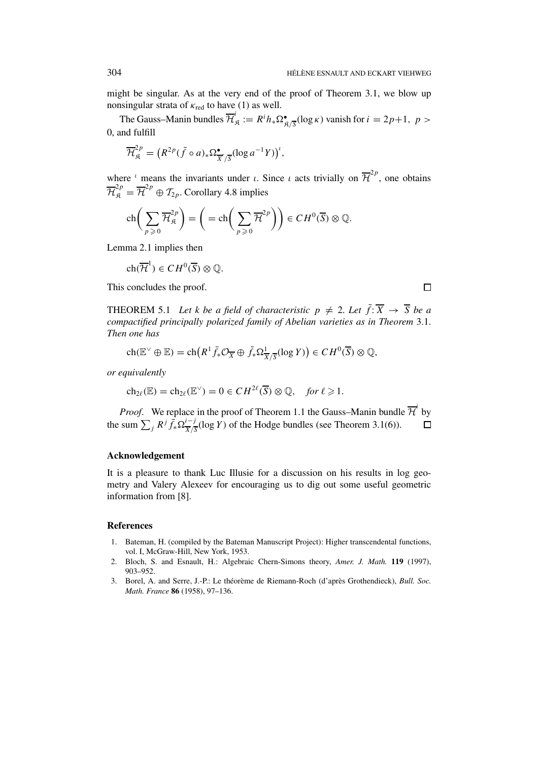might be singular. As at the very end of the proof of Theorem 3.1, we blow up nonsingular strata of  $\kappa_{\text{red}}$  to have (1) as well.

The Gauss–Manin bundles  $\overline{\mathcal{H}}_{\mathfrak{K}}^i := R^i h_* \Omega_{\mathfrak{K}/\overline{S}}^{\bullet}(\log \kappa)$  vanish for  $i = 2p+1, p >$ 0, and fulfill

$$
\overline{\mathcal{H}}_{\mathfrak{K}}^{2p} = \left( R^{2p} (\bar{f} \circ a) \ast \Omega^{\bullet}_{\overline{X}' / \overline{S}} (\log a^{-1} Y) \right)^{t},
$$

where <sup>*ι*</sup> means the invariants under *ι*. Since *ι* acts trivially on  $\overline{\mathcal{H}}^{2p}$ , one obtains  $\overline{\mathcal{H}}_{\mathfrak{K}}^{2p} = \overline{\mathcal{H}}^{2p} \oplus \mathcal{I}_{2p}$ . Corollary 4.8 implies

$$
\operatorname{ch}\bigg(\sum_{p\geqslant 0}\overline{\mathcal{H}}_{\mathfrak{K}}^{2p}\bigg)=\bigg(=\operatorname{ch}\bigg(\sum_{p\geqslant 0}\overline{\mathcal{H}}^{2p}\bigg)\bigg)\in\mathcal{C}H^0(\overline{S})\otimes\mathbb{Q}.
$$

Lemma 2.1 implies then

$$
ch(\overline{\mathcal{H}}^1) \in CH^0(\overline{S}) \otimes \mathbb{Q}.
$$

This concludes the proof.

THEOREM 5.1 *Let k be a field of characteristic*  $p \neq 2$ *. Let*  $\bar{f}: \overline{X} \rightarrow \overline{S}$  *be a compactified principally polarized family of Abelian varieties as in Theorem* 3.1. *Then one has*

$$
ch(\mathbb{E}^{\vee} \oplus \mathbb{E}) = ch\big(R^{1} \overline{f}_{*}\mathcal{O}_{\overline{X}} \oplus \overline{f}_{*}\Omega^{1}_{\overline{X}/\overline{S}}(\log Y)\big) \in CH^{0}(\overline{S}) \otimes \mathbb{Q},
$$

*or equivalently*

$$
ch_{2\ell}(\mathbb{E}) = ch_{2\ell}(\mathbb{E}^{\vee}) = 0 \in CH^{2\ell}(\overline{S}) \otimes \mathbb{Q}, \quad \text{for } \ell \geq 1.
$$

*Proof.* We replace in the proof of Theorem 1.1 the Gauss–Manin bundle  $\overline{\mathcal{H}}^i$  by the sum  $\sum_{j} R^{j} \bar{f}_{*} \Omega \frac{i-j}{\overline{X}/\overline{S}}(\log Y)$  of the Hodge bundles (see Theorem 3.1(6)).  $\Box$ 

# **Acknowledgement**

It is a pleasure to thank Luc Illusie for a discussion on his results in log geometry and Valery Alexeev for encouraging us to dig out some useful geometric information from [8].

#### **References**

- 1. Bateman, H. (compiled by the Bateman Manuscript Project): Higher transcendental functions, vol. I, McGraw-Hill, New York, 1953.
- 2. Bloch, S. and Esnault, H.: Algebraic Chern-Simons theory, *Amer. J. Math.* **119** (1997), 903–952.
- 3. Borel, A. and Serre, J.-P.: Le théorème de Riemann-Roch (d'après Grothendieck), *Bull. Soc. Math. France* **86** (1958), 97–136.